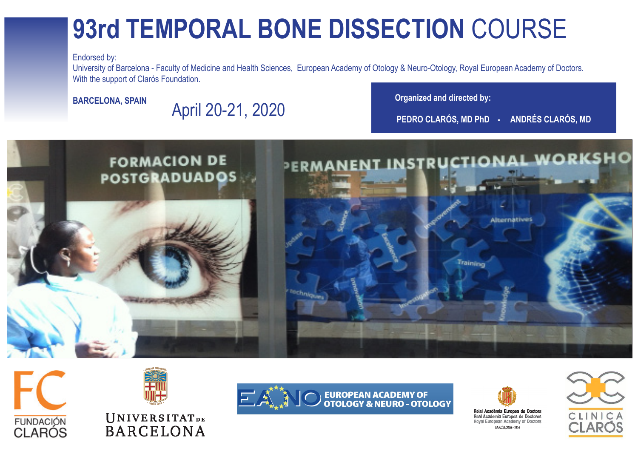## **93rd TEMPORAL BONE DISSECTION** COURSE

Endorsed by:

University of Barcelona - Faculty of Medicine and Health Sciences, European Academy of Otology & Neuro-Otology, Royal European Academy of Doctors. With the support of Clarós Foundation.

**BARCELONA, SPAIN** April 20-21, 2020<br>PEDRO CLARÓS, MD PhD - ANDRÉS CLARÓS, MD







### **UNIVERSITATDE BARCELONA**





Reial Acadèmia Europea de Doctors Real Academia Europea de Doctores Roval European Academy of Doctors RARC'ELONA - 191

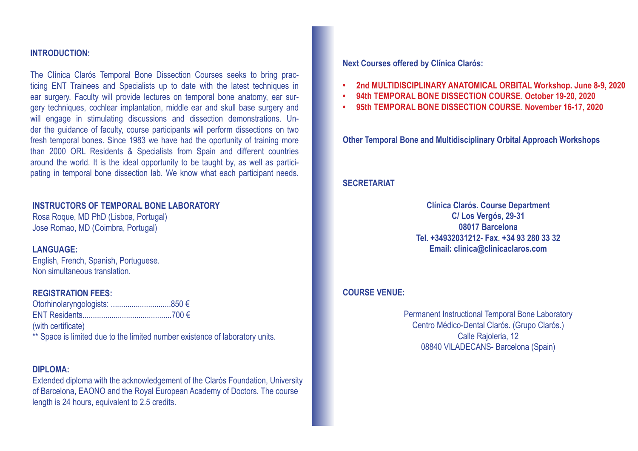#### **INTRODUCTION:**

The Clínica Clarós Temporal Bone Dissection Courses seeks to bring practicing ENT Trainees and Specialists up to date with the latest techniques in ear surgery. Faculty will provide lectures on temporal bone anatomy, ear surgery techniques, cochlear implantation, middle ear and skull base surgery and will engage in stimulating discussions and dissection demonstrations. Under the guidance of faculty, course participants will perform dissections on two fresh temporal bones. Since 1983 we have had the oportunity of training more than 2000 ORL Residents & Specialists from Spain and different countries around the world. It is the ideal opportunity to be taught by, as well as participating in temporal bone dissection lab. We know what each participant needs.

#### **INSTRUCTORS OF TEMPORAL BONE LABORATORY**

Rosa Roque, MD PhD (Lisboa, Portugal) Jose Romao, MD (Coimbra, Portugal)

#### **LANGUAGE:**

English, French, Spanish, Portuguese. Non simultaneous translation.

#### **REGISTRATION FEES:**

(with certificate) \*\* Space is limited due to the limited number existence of laboratory units.

#### **DIPLOMA:**

Extended diploma with the acknowledgement of the Clarós Foundation, University of Barcelona, EAONO and the Royal European Academy of Doctors. The course length is 24 hours, equivalent to 2.5 credits.

**Next Courses offered by Clínica Clarós:**

- **2nd MULTIDISCIPLINARY ANATOMICAL ORBITAL Workshop. June 8-9, 2020**
- 94th TEMPORAL BONE DISSECTION COURSE. October 19-20, 2020
- **95th TEMPORAL BONE DISSECTION COURSE. November 16-17, 2020**

**Other Temporal Bone and Multidisciplinary Orbital Approach Workshops**

#### **SECRETARIAT**

**Clínica Clarós. Course Department C/ Los Vergós, 29-31 08017 Barcelona Tel. +34932031212- Fax. +34 93 280 33 32 Email: clinica@clinicaclaros.com**

#### **COURSE VENUE:**

Permanent Instructional Temporal Bone Laboratory Centro Médico-Dental Clarós. (Grupo Clarós.) Calle Rajoleria, 12 08840 VILADECANS- Barcelona (Spain)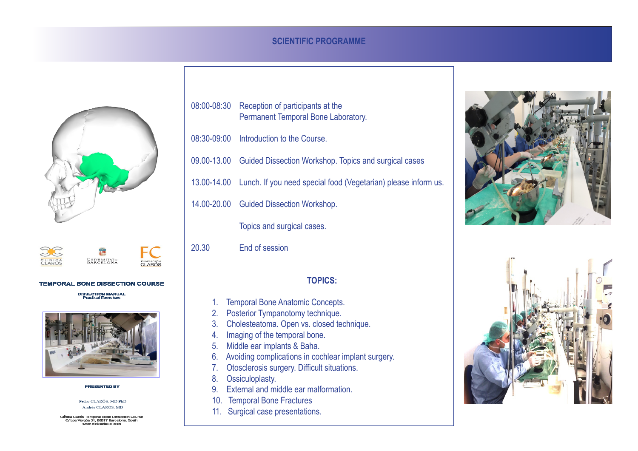#### **SCIENTIFIC PROGRAMME**



UNIVERSITAT. CLINIC



#### **TEMPORAL BONE DISSECTION COURSE**

**DISSECTION MANUAL**<br>Practical Exercises



**PRESENTED BY** 

Pedro CLARÓS, MD PhD Andrés CLARÓS, MD

Clínica Clarós Temporal Bone Dissection Course<br>C/ Los Vergós 31, 08017 Barcelona. Spain<br>www.clinicaclaros.com

| 08:00-08:30 | Reception of participants at the<br>Permanent Temporal Bone Laboratory.    |
|-------------|----------------------------------------------------------------------------|
|             | 08:30-09:00 Introduction to the Course.                                    |
|             | 09.00-13.00 Guided Dissection Workshop. Topics and surgical cases          |
|             | 13.00-14.00 Lunch. If you need special food (Vegetarian) please inform us. |
|             | 14.00-20.00 Guided Dissection Workshop.                                    |
|             | Topics and surgical cases.                                                 |

20.30 End of session

#### **TOPICS:**

- 1. Temporal Bone Anatomic Concepts.
- 2. Posterior Tympanotomy technique.
- 3. Cholesteatoma. Open vs. closed technique.
- 4. Imaging of the temporal bone.
- 5. Middle ear implants & Baha.
- 6. Avoiding complications in cochlear implant surgery.
- 7. Otosclerosis surgery. Difficult situations.
- 8. Ossiculoplasty.
- 9. External and middle ear malformation.
- 10. Temporal Bone Fractures
- 11. Surgical case presentations.



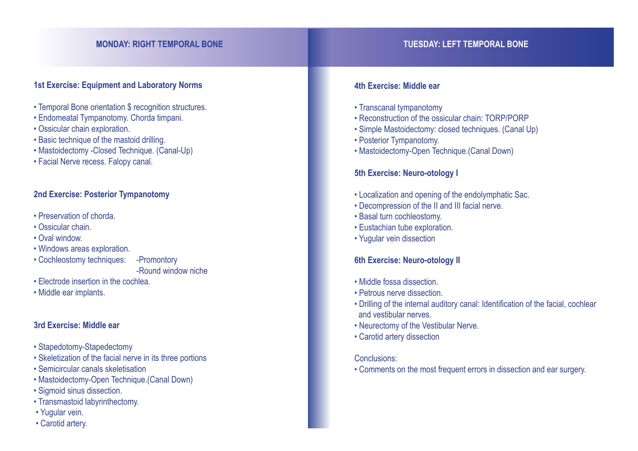### **MONDAY: RIGHT TEMPORAL BONE TUESDAY: LEFT TEMPORAL BONE**

#### **1st Exercise: Equipment and Laboratory Norms**

- Temporal Bone orientation \$ recognition structures.
- Endomeatal Tympanotomy. Chorda timpani.
- Ossicular chain exploration.
- Basic technique of the mastoid drilling.
- Mastoidectomy -Closed Technique. (Canal-Up)
- Facial Nerve recess. Falopy canal.

#### **2nd Exercise: Posterior Tympanotomy**

- Preservation of chorda.
- Ossicular chain.
- Oval window.
- Windows areas exploration.
- Cochleostomy techniques: -Promontory

-Round window niche

- Electrode insertion in the cochlea.
- Middle ear implants.

#### **3rd Exercise: Middle ear**

- Stapedotomy-Stapedectomy
- Skeletization of the facial nerve in its three portions
- Semicircular canals skeletisation
- Mastoidectomy-Open Technique.(Canal Down)
- Sigmoid sinus dissection.
- Transmastoid labyrinthectomy.
- Yugular vein.
- Carotid artery.

#### **4th Exercise: Middle ear**

- Transcanal tympanotomy
- Reconstruction of the ossicular chain: TORP/PORP
- Simple Mastoidectomy: closed techniques. (Canal Up)
- Posterior Tympanotomy.
- Mastoidectomy-Open Technique.(Canal Down)

#### **5th Exercise: Neuro-otology I**

- Localization and opening of the endolymphatic Sac.
- Decompression of the II and III facial nerve.
- Basal turn cochleostomy.
- Eustachian tube exploration.
- Yugular vein dissection

#### **6th Exercise: Neuro-otology II**

- Middle fossa dissection.
- Petrous nerve dissection.
- Drilling of the internal auditory canal: Identification of the facial, cochlear and vestibular nerves.
- Neurectomy of the Vestibular Nerve.
- Carotid artery dissection

#### Conclusions:

• Comments on the most frequent errors in dissection and ear surgery.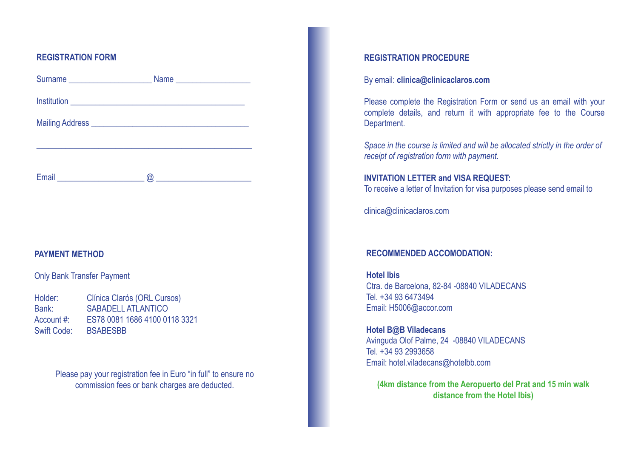#### **REGISTRATION FORM**

| Surname |  |
|---------|--|
|         |  |
|         |  |
|         |  |
| Email   |  |

#### **PAYMENT METHOD**

#### Only Bank Transfer Payment

| Holder:            | Clínica Clarós (ORL Cursos)   |
|--------------------|-------------------------------|
| Bank:              | <b>SABADELL ATLANTICO</b>     |
| Account #:         | ES78 0081 1686 4100 0118 3321 |
| <b>Swift Code:</b> | <b>BSABESBB</b>               |

Please pay your registration fee in Euro "in full" to ensure no commission fees or bank charges are deducted.

#### **REGISTRATION PROCEDURE**

#### By email: **clinica@clinicaclaros.com**

Please complete the Registration Form or send us an email with your complete details, and return it with appropriate fee to the Course Department.

*Space in the course is limited and will be allocated strictly in the order of receipt of registration form with payment.*

#### **INVITATION LETTER and VISA REQUEST:**

To receive a letter of Invitation for visa purposes please send email to

clinica@clinicaclaros.com

#### **RECOMMENDED ACCOMODATION:**

**Hotel Ibis** Ctra. de Barcelona, 82-84 -08840 VILADECANS Tel. +34 93 6473494 Email: H5006@accor.com

**Hotel B@B Viladecans** Avinguda Olof Palme, 24 -08840 VILADECANS Tel. +34 93 2993658 Email: hotel.viladecans@hotelbb.com

**(4km distance from the Aeropuerto del Prat and 15 min walk distance from the Hotel Ibis)**